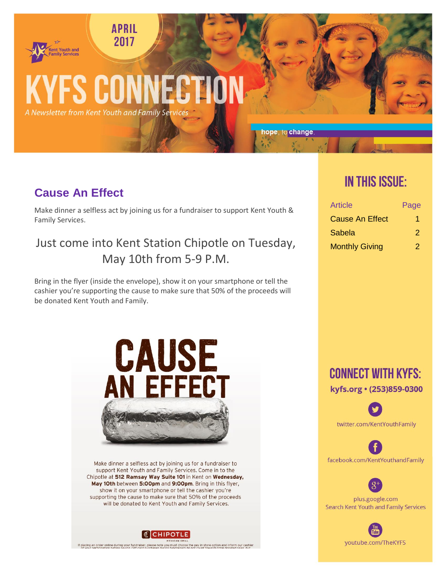#### **APRIL** 2017

# **KYFS CONNECTION**

A Newsletter from Kent Youth and Family Services

**Cause An Effect** 

nt Youth and

Make dinner a selfless act by joining us for a fundraiser to support Kent Youth & Family Services.

Just come into Kent Station Chipotle on Tuesday, May 10th from 5-9 P.M.

Bring in the flyer (inside the envelope), show it on your smartphone or tell the cashier you're supporting the cause to make sure that 50% of the proceeds will be donated Kent Youth and Family.



Make dinner a selfless act by joining us for a fundraiser to support Kent Youth and Family Services. Come in to the Chipotle at 512 Ramsay Way Suite 101 in Kent on Wednesday, May 10th between 5:00pm and 9:00pm. Bring in this flyer, show it on your smartphone or tell the cashier you're supporting the cause to make sure that 50% of the proceeds will be donated to Kent Youth and Family Services.



If placing an order online during your fundraiser, please note you must choose the pay in-store option and inform our cashier<br>of your participation before paying Gift card purchases during fundraisers do not count towards

# **IN THIS ISSUE:**

hope, to change.

| Article                | Page |
|------------------------|------|
| <b>Cause An Effect</b> |      |
| Sabela                 | 2    |
| <b>Monthly Giving</b>  |      |



twitter.com/KentYouthFamily

facebook.com/KentYouthandFamily



plus.google.com Search Kent Youth and Family Services